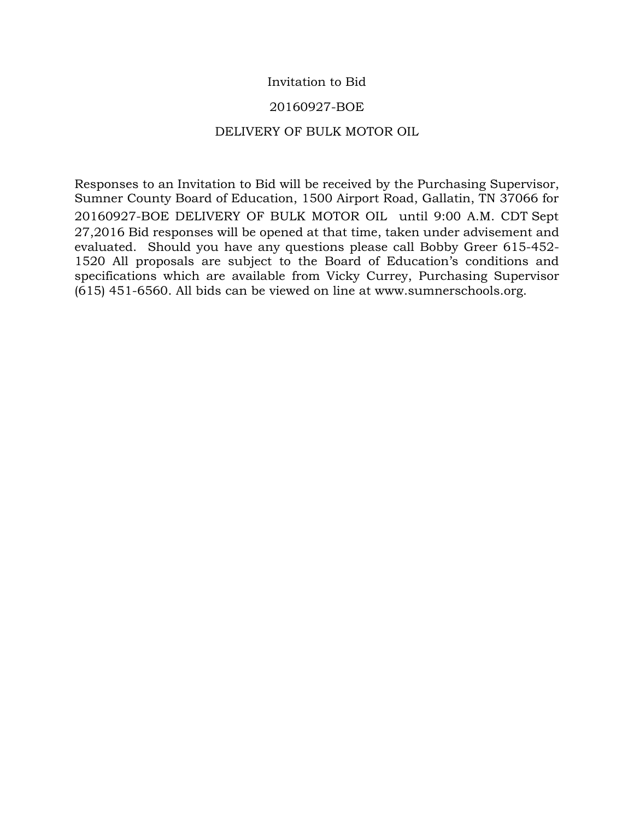# Invitation to Bid

## 20160927-BOE

## DELIVERY OF BULK MOTOR OIL

Responses to an Invitation to Bid will be received by the Purchasing Supervisor, Sumner County Board of Education, 1500 Airport Road, Gallatin, TN 37066 for 20160927-BOE DELIVERY OF BULK MOTOR OIL until 9:00 A.M. CDT Sept 27,2016 Bid responses will be opened at that time, taken under advisement and evaluated. Should you have any questions please call Bobby Greer 615-452- 1520 All proposals are subject to the Board of Education's conditions and specifications which are available from Vicky Currey, Purchasing Supervisor (615) 451-6560. All bids can be viewed on line at www.sumnerschools.org.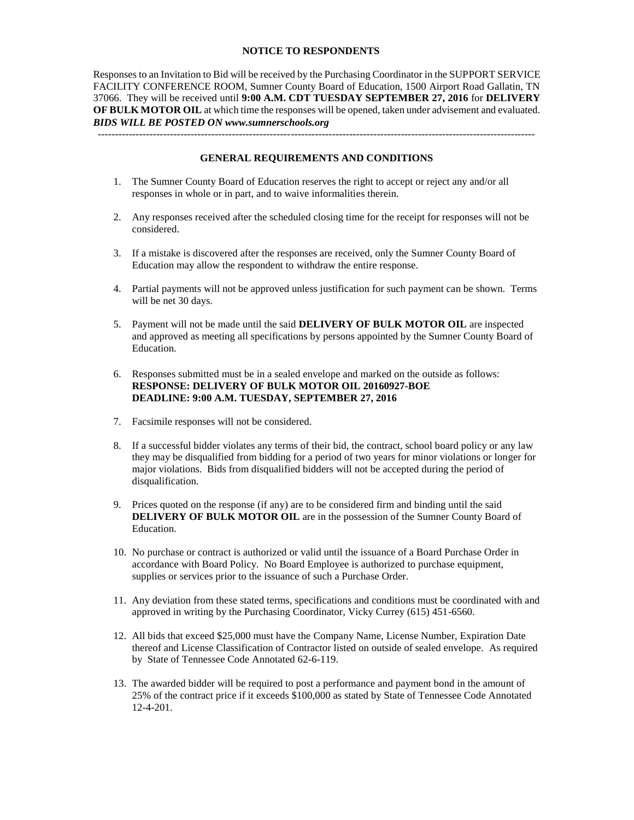### **NOTICE TO RESPONDENTS**

Responses to an Invitation to Bid will be received by the Purchasing Coordinator in the SUPPORT SERVICE FACILITY CONFERENCE ROOM, Sumner County Board of Education, 1500 Airport Road Gallatin, TN 37066. They will be received until **9:00 A.M. CDT TUESDAY SEPTEMBER 27, 2016** for **DELIVERY OF BULK MOTOR OIL** at which time the responses will be opened, taken under advisement and evaluated. *BIDS WILL BE POSTED ON www.sumnerschools.org* 

**GENERAL REQUIREMENTS AND CONDITIONS** 

-------------------------------------------------------------------------------------------------------------------------------

- 1. The Sumner County Board of Education reserves the right to accept or reject any and/or all responses in whole or in part, and to waive informalities therein.
- 2. Any responses received after the scheduled closing time for the receipt for responses will not be considered.
- 3. If a mistake is discovered after the responses are received, only the Sumner County Board of Education may allow the respondent to withdraw the entire response.
- 4. Partial payments will not be approved unless justification for such payment can be shown. Terms will be net 30 days.
- 5. Payment will not be made until the said **DELIVERY OF BULK MOTOR OIL** are inspected and approved as meeting all specifications by persons appointed by the Sumner County Board of Education.
- 6. Responses submitted must be in a sealed envelope and marked on the outside as follows: **RESPONSE: DELIVERY OF BULK MOTOR OIL 20160927-BOE DEADLINE: 9:00 A.M. TUESDAY, SEPTEMBER 27, 2016**
- 7. Facsimile responses will not be considered.
- 8. If a successful bidder violates any terms of their bid, the contract, school board policy or any law they may be disqualified from bidding for a period of two years for minor violations or longer for major violations. Bids from disqualified bidders will not be accepted during the period of disqualification.
- 9. Prices quoted on the response (if any) are to be considered firm and binding until the said **DELIVERY OF BULK MOTOR OIL** are in the possession of the Sumner County Board of Education.
- 10. No purchase or contract is authorized or valid until the issuance of a Board Purchase Order in accordance with Board Policy. No Board Employee is authorized to purchase equipment, supplies or services prior to the issuance of such a Purchase Order.
- 11. Any deviation from these stated terms, specifications and conditions must be coordinated with and approved in writing by the Purchasing Coordinator, Vicky Currey (615) 451-6560.
- 12. All bids that exceed \$25,000 must have the Company Name, License Number, Expiration Date thereof and License Classification of Contractor listed on outside of sealed envelope. As required by State of Tennessee Code Annotated 62-6-119.
- 13. The awarded bidder will be required to post a performance and payment bond in the amount of 25% of the contract price if it exceeds \$100,000 as stated by State of Tennessee Code Annotated 12-4-201.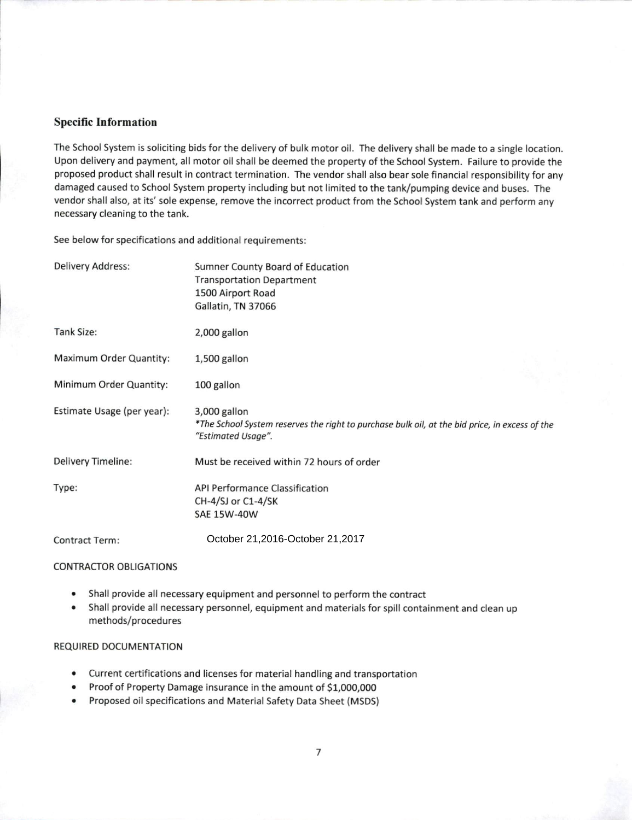### **Specific Information**

The School System is soliciting bids for the delivery of bulk motor oil. The delivery shall be made to a single location. Upon delivery and payment, all motor oil shall be deemed the property of the School System. Failure to provide the proposed product shall result in contract termination. The vendor shall also bear sole financial responsibility for any damaged caused to School System property including but not limited to the tank/pumping device and buses. The vendor shall also, at its' sole expense, remove the incorrect product from the School System tank and perform any necessary cleaning to the tank.

See below for specifications and additional requirements:

| Delivery Address:          | Sumner County Board of Education<br><b>Transportation Department</b><br>1500 Airport Road<br>Gallatin, TN 37066                      |  |  |
|----------------------------|--------------------------------------------------------------------------------------------------------------------------------------|--|--|
| Tank Size:                 | 2,000 gallon                                                                                                                         |  |  |
| Maximum Order Quantity:    | 1,500 gallon                                                                                                                         |  |  |
| Minimum Order Quantity:    | 100 gallon                                                                                                                           |  |  |
| Estimate Usage (per year): | 3,000 gallon<br>*The School System reserves the right to purchase bulk oil, at the bid price, in excess of the<br>"Estimated Usage". |  |  |
| <b>Delivery Timeline:</b>  | Must be received within 72 hours of order                                                                                            |  |  |
| Type:                      | <b>API Performance Classification</b><br>CH-4/SJ or C1-4/SK<br><b>SAE 15W-40W</b>                                                    |  |  |
| Contract Term:             | October 21,2016-October 21,2017                                                                                                      |  |  |

#### **CONTRACTOR OBLIGATIONS**

- $\bullet$ Shall provide all necessary equipment and personnel to perform the contract
- $\bullet$ Shall provide all necessary personnel, equipment and materials for spill containment and clean up methods/procedures

#### **REQUIRED DOCUMENTATION**

- Current certifications and licenses for material handling and transportation
- Proof of Property Damage insurance in the amount of \$1,000,000
- Proposed oil specifications and Material Safety Data Sheet (MSDS)